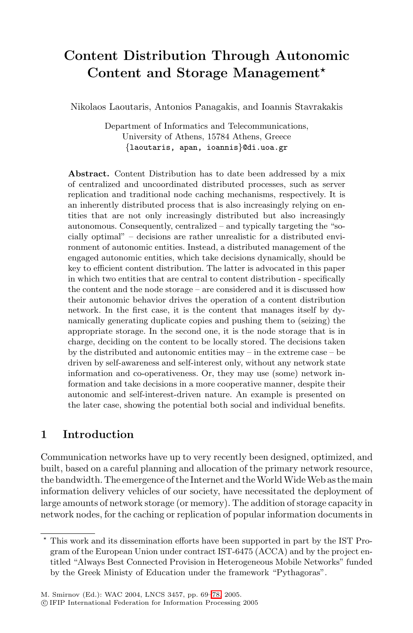# **Content Distribution Through Autonomic Content and Storage Management**

Nikolaos Laoutaris, Antonios Panagakis, and Ioannis Stavrakakis

Department of Informatics and Telecommunications, University of Athens, 15784 Athens, Greece {laoutaris, apan, ioannis}@di.uoa.gr

**Abstract.** Content Distribution has to date been addressed by a mix of centralized and uncoordinated distributed processes, such as server replication and traditional node caching mechanisms, respectively. It is an inherently distributed process that is also increasingly relying on entities that are not only increasingly distributed but also increasingly autonomous. Consequently, centralized – and typically targeting the "socially optimal" – decisions are rather unrealistic for a distributed environment of autonomic entities. Instead, a distributed management of the engaged autonomic entities, which take decisions dynamically, should be key to efficient content distribution. The latter is advocated in this paper in which two entities that are central to content distribution - specifically the content and the node storage – are considered and it is discussed how their autonomic behavior drives the operation of a content distribution network. In the first case, it is the content that manages itself by dynamically generating duplicate copies and pushing them to (seizing) the appropriate storage. In the second one, it is the node storage that is in charge, deciding on the content to be locally stored. The decisions taken by the distributed and autonomic entities may – in the extreme case – be driven by self-awareness and self-interest only, without any network state information and co-operativeness. Or, they may use (some) network information and take decisions in a more cooperative manner, despite their autonomic and self-interest-driven nature. An example is presented on the later case, showing the potential both social and individual benefits.

## **1 Introduction**

Communication networks have up to very recently been designed, optimized, and built, based on a careful planning and allocation of the primary network resource, the bandwidth. The emergence of the Internet and theWorldWideWeb as the main information delivery vehicles of our society, have necessitated the deployment of large amounts of network storage (or memory). The addition of storage capacity in network nodes, for the caching or replication of popular information documents in

This work and its dissemination efforts have been supported in part by the IST Program of the European Union under contract IST-6475 (ACCA) and by the project entitled "Always Best Connected Provision in Heterogeneous Mobile Networks" funded by the Greek Ministy of Education under the framework "Pythagoras".

c IFIP International Federation for Information Processing 2005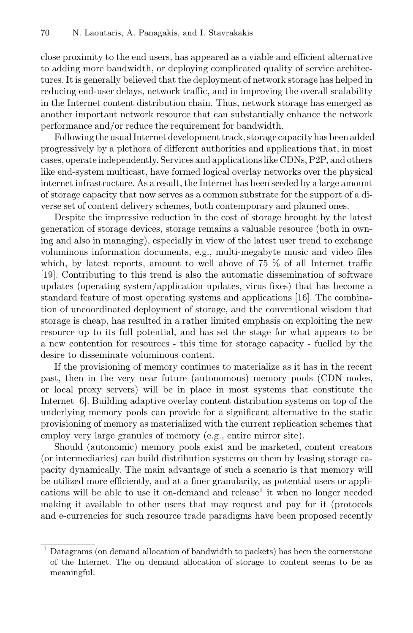close proximity to the end users, has appeared as a viable and efficient alternative to adding more bandwidth, or deploying complicated quality of service architectures. It is generally believed that the deployment of network storage has helped in reducing end-user delays, network traffic, and in improving the overall scalability in the Internet content distribution chain. Thus, network storage has emerged as another important network resource that can substantially enhance the network performance and/or reduce the requirement for bandwidth.

Following the usual Internet development track, storage capacity has been added progressively by a plethora of different authorities and applications that, in most cases, operate independently. Services and applications like CDNs, P2P, and others like end-system multicast, have formed logical overlay networks over the physical internet infrastructure. As a result, the Internet has been seeded by a large amount of storage capacity that now serves as a common substrate for the support of a diverse set of content delivery schemes, both contemporary and planned ones.

Despite the impressive reduction in the cost of storage brought by the latest generation of storage devices, storage remains a valuable resource (both in owning and also in managing), especially in view of the latest user trend to exchange voluminous information documents, e.g., multi-megabyte music and video files which, by latest reports, amount to well above of 75 % of all Internet traffic [\[19\]](#page-9-1). Contributing to this trend is also the automatic dissemination of software updates (operating system/application updates, virus fixes) that has become a standard feature of most operating systems and applications [\[16\]](#page-9-2). The combination of uncoordinated deployment of storage, and the conventional wisdom that storage is cheap, has resulted in a rather limited emphasis on exploiting the new resource up to its full potential, and has set the stage for what appears to be a new contention for resources - this time for storage capacity - fuelled by the desire to disseminate voluminous content.

If the provisioning of memory continues to materialize as it has in the recent past, then in the very near future (autonomous) memory pools (CDN nodes, or local proxy servers) will be in place in most systems that constitute the Internet [\[6\]](#page-9-3). Building adaptive overlay content distribution systems on top of the underlying memory pools can provide for a significant alternative to the static provisioning of memory as materialized with the current replication schemes that employ very large granules of memory (e.g., entire mirror site).

Should (autonomic) memory pools exist and be marketed, content creators (or intermediaries) can build distribution systems on them by leasing storage capacity dynamically. The main advantage of such a scenario is that memory will be utilized more efficiently, and at a finer granularity, as potential users or appli-cations will be able to use it on-demand and release<sup>[1](#page-1-0)</sup> it when no longer needed making it available to other users that may request and pay for it (protocols and e-currencies for such resource trade paradigms have been proposed recently

<span id="page-1-0"></span> $1$  Datagrams (on demand allocation of bandwidth to packets) has been the cornerstone of the Internet. The on demand allocation of storage to content seems to be as meaningful.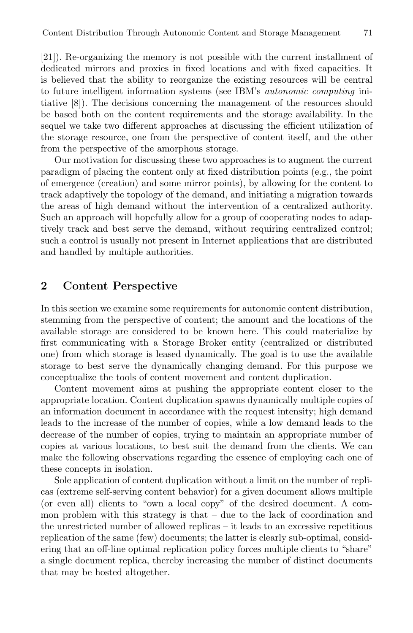[\[21\]](#page-9-4)). Re-organizing the memory is not possible with the current installment of dedicated mirrors and proxies in fixed locations and with fixed capacities. It is believed that the ability to reorganize the existing resources will be central to future intelligent information systems (see IBM's *autonomic computing* initiative [\[8\]](#page-9-5)). The decisions concerning the management of the resources should be based both on the content requirements and the storage availability. In the sequel we take two different approaches at discussing the efficient utilization of the storage resource, one from the perspective of content itself, and the other from the perspective of the amorphous storage.

Our motivation for discussing these two approaches is to augment the current paradigm of placing the content only at fixed distribution points (e.g., the point of emergence (creation) and some mirror points), by allowing for the content to track adaptively the topology of the demand, and initiating a migration towards the areas of high demand without the intervention of a centralized authority. Such an approach will hopefully allow for a group of cooperating nodes to adaptively track and best serve the demand, without requiring centralized control; such a control is usually not present in Internet applications that are distributed and handled by multiple authorities.

### **2 Content Perspective**

In this section we examine some requirements for autonomic content distribution, stemming from the perspective of content; the amount and the locations of the available storage are considered to be known here. This could materialize by first communicating with a Storage Broker entity (centralized or distributed one) from which storage is leased dynamically. The goal is to use the available storage to best serve the dynamically changing demand. For this purpose we conceptualize the tools of content movement and content duplication.

Content movement aims at pushing the appropriate content closer to the appropriate location. Content duplication spawns dynamically multiple copies of an information document in accordance with the request intensity; high demand leads to the increase of the number of copies, while a low demand leads to the decrease of the number of copies, trying to maintain an appropriate number of copies at various locations, to best suit the demand from the clients. We can make the following observations regarding the essence of employing each one of these concepts in isolation.

Sole application of content duplication without a limit on the number of replicas (extreme self-serving content behavior) for a given document allows multiple (or even all) clients to "own a local copy" of the desired document. A common problem with this strategy is that – due to the lack of coordination and the unrestricted number of allowed replicas – it leads to an excessive repetitious replication of the same (few) documents; the latter is clearly sub-optimal, considering that an off-line optimal replication policy forces multiple clients to "share" a single document replica, thereby increasing the number of distinct documents that may be hosted altogether.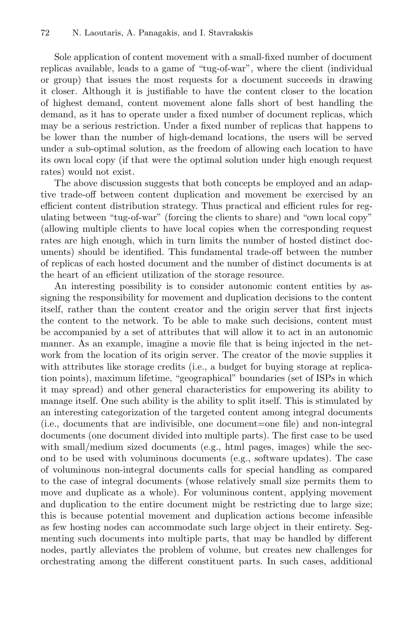Sole application of content movement with a small-fixed number of document replicas available, leads to a game of "tug-of-war", where the client (individual or group) that issues the most requests for a document succeeds in drawing it closer. Although it is justifiable to have the content closer to the location of highest demand, content movement alone falls short of best handling the demand, as it has to operate under a fixed number of document replicas, which may be a serious restriction. Under a fixed number of replicas that happens to be lower than the number of high-demand locations, the users will be served under a sub-optimal solution, as the freedom of allowing each location to have its own local copy (if that were the optimal solution under high enough request rates) would not exist.

The above discussion suggests that both concepts be employed and an adaptive trade-off between content duplication and movement be exercised by an efficient content distribution strategy. Thus practical and efficient rules for regulating between "tug-of-war" (forcing the clients to share) and "own local copy" (allowing multiple clients to have local copies when the corresponding request rates are high enough, which in turn limits the number of hosted distinct documents) should be identified. This fundamental trade-off between the number of replicas of each hosted document and the number of distinct documents is at the heart of an efficient utilization of the storage resource.

An interesting possibility is to consider autonomic content entities by assigning the responsibility for movement and duplication decisions to the content itself, rather than the content creator and the origin server that first injects the content to the network. To be able to make such decisions, content must be accompanied by a set of attributes that will allow it to act in an autonomic manner. As an example, imagine a movie file that is being injected in the network from the location of its origin server. The creator of the movie supplies it with attributes like storage credits (i.e., a budget for buying storage at replication points), maximum lifetime, "geographical" boundaries (set of ISPs in which it may spread) and other general characteristics for empowering its ability to manage itself. One such ability is the ability to split itself. This is stimulated by an interesting categorization of the targeted content among integral documents (i.e., documents that are indivisible, one document=one file) and non-integral documents (one document divided into multiple parts). The first case to be used with small/medium sized documents (e.g., html pages, images) while the second to be used with voluminous documents (e.g., software updates). The case of voluminous non-integral documents calls for special handling as compared to the case of integral documents (whose relatively small size permits them to move and duplicate as a whole). For voluminous content, applying movement and duplication to the entire document might be restricting due to large size; this is because potential movement and duplication actions become infeasible as few hosting nodes can accommodate such large object in their entirety. Segmenting such documents into multiple parts, that may be handled by different nodes, partly alleviates the problem of volume, but creates new challenges for orchestrating among the different constituent parts. In such cases, additional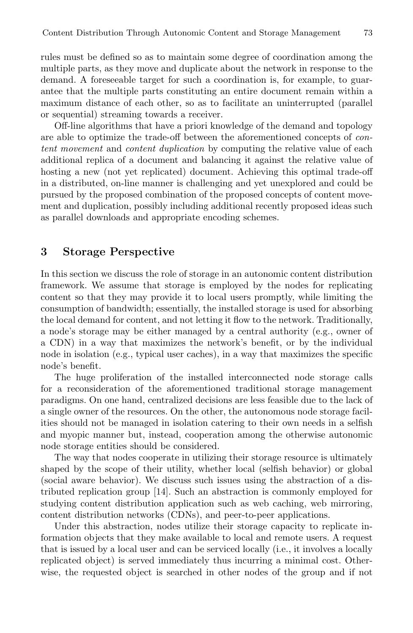rules must be defined so as to maintain some degree of coordination among the multiple parts, as they move and duplicate about the network in response to the demand. A foreseeable target for such a coordination is, for example, to guarantee that the multiple parts constituting an entire document remain within a maximum distance of each other, so as to facilitate an uninterrupted (parallel or sequential) streaming towards a receiver.

Off-line algorithms that have a priori knowledge of the demand and topology are able to optimize the trade-off between the aforementioned concepts of *content movement* and *content duplication* by computing the relative value of each additional replica of a document and balancing it against the relative value of hosting a new (not yet replicated) document. Achieving this optimal trade-off in a distributed, on-line manner is challenging and yet unexplored and could be pursued by the proposed combination of the proposed concepts of content movement and duplication, possibly including additional recently proposed ideas such as parallel downloads and appropriate encoding schemes.

### **3 Storage Perspective**

In this section we discuss the role of storage in an autonomic content distribution framework. We assume that storage is employed by the nodes for replicating content so that they may provide it to local users promptly, while limiting the consumption of bandwidth; essentially, the installed storage is used for absorbing the local demand for content, and not letting it flow to the network. Traditionally, a node's storage may be either managed by a central authority (e.g., owner of a CDN) in a way that maximizes the network's benefit, or by the individual node in isolation (e.g., typical user caches), in a way that maximizes the specific node's benefit.

The huge proliferation of the installed interconnected node storage calls for a reconsideration of the aforementioned traditional storage management paradigms. On one hand, centralized decisions are less feasible due to the lack of a single owner of the resources. On the other, the autonomous node storage facilities should not be managed in isolation catering to their own needs in a selfish and myopic manner but, instead, cooperation among the otherwise autonomic node storage entities should be considered.

The way that nodes cooperate in utilizing their storage resource is ultimately shaped by the scope of their utility, whether local (selfish behavior) or global (social aware behavior). We discuss such issues using the abstraction of a distributed replication group [\[14\]](#page-9-6). Such an abstraction is commonly employed for studying content distribution application such as web caching, web mirroring, content distribution networks (CDNs), and peer-to-peer applications.

Under this abstraction, nodes utilize their storage capacity to replicate information objects that they make available to local and remote users. A request that is issued by a local user and can be serviced locally (i.e., it involves a locally replicated object) is served immediately thus incurring a minimal cost. Otherwise, the requested object is searched in other nodes of the group and if not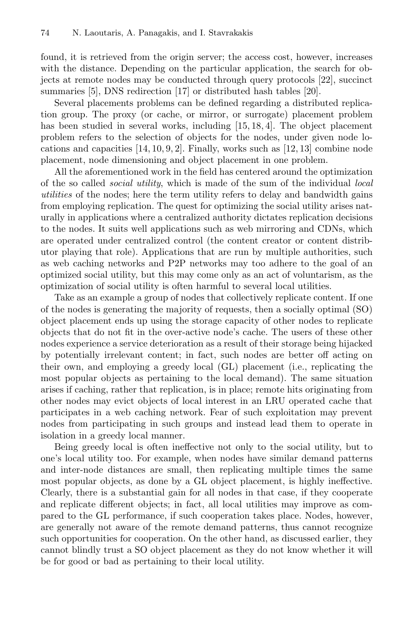found, it is retrieved from the origin server; the access cost, however, increases with the distance. Depending on the particular application, the search for objects at remote nodes may be conducted through query protocols [\[22\]](#page-9-7), succinct summaries [\[5\]](#page-8-0), DNS redirection [\[17\]](#page-9-8) or distributed hash tables [\[20\]](#page-9-9).

Several placements problems can be defined regarding a distributed replication group. The proxy (or cache, or mirror, or surrogate) placement problem has been studied in several works, including [\[15,](#page-9-10) [18,](#page-9-11) [4\]](#page-8-1). The object placement problem refers to the selection of objects for the nodes, under given node locations and capacities [\[14,](#page-9-6) [10,](#page-9-12) [9,](#page-9-13) [2\]](#page-8-2). Finally, works such as [\[12,](#page-9-14) [13\]](#page-9-15) combine node placement, node dimensioning and object placement in one problem.

All the aforementioned work in the field has centered around the optimization of the so called *social utility*, which is made of the sum of the individual *local utilities* of the nodes; here the term utility refers to delay and bandwidth gains from employing replication. The quest for optimizing the social utility arises naturally in applications where a centralized authority dictates replication decisions to the nodes. It suits well applications such as web mirroring and CDNs, which are operated under centralized control (the content creator or content distributor playing that role). Applications that are run by multiple authorities, such as web caching networks and P2P networks may too adhere to the goal of an optimized social utility, but this may come only as an act of voluntarism, as the optimization of social utility is often harmful to several local utilities.

Take as an example a group of nodes that collectively replicate content. If one of the nodes is generating the majority of requests, then a socially optimal (SO) object placement ends up using the storage capacity of other nodes to replicate objects that do not fit in the over-active node's cache. The users of these other nodes experience a service deterioration as a result of their storage being hijacked by potentially irrelevant content; in fact, such nodes are better off acting on their own, and employing a greedy local (GL) placement (i.e., replicating the most popular objects as pertaining to the local demand). The same situation arises if caching, rather that replication, is in place; remote hits originating from other nodes may evict objects of local interest in an LRU operated cache that participates in a web caching network. Fear of such exploitation may prevent nodes from participating in such groups and instead lead them to operate in isolation in a greedy local manner.

Being greedy local is often ineffective not only to the social utility, but to one's local utility too. For example, when nodes have similar demand patterns and inter-node distances are small, then replicating multiple times the same most popular objects, as done by a GL object placement, is highly ineffective. Clearly, there is a substantial gain for all nodes in that case, if they cooperate and replicate different objects; in fact, all local utilities may improve as compared to the GL performance, if such cooperation takes place. Nodes, however, are generally not aware of the remote demand patterns, thus cannot recognize such opportunities for cooperation. On the other hand, as discussed earlier, they cannot blindly trust a SO object placement as they do not know whether it will be for good or bad as pertaining to their local utility.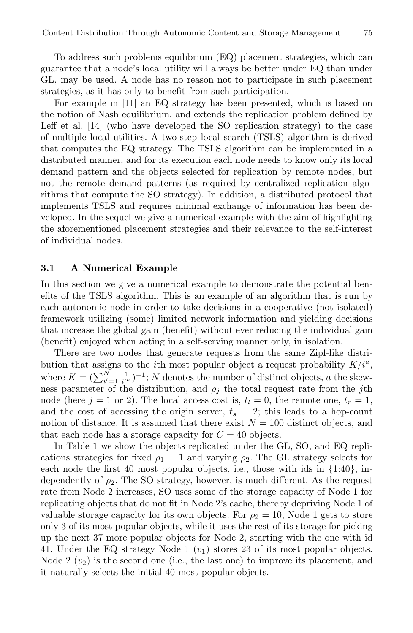To address such problems equilibrium (EQ) placement strategies, which can guarantee that a node's local utility will always be better under EQ than under GL, may be used. A node has no reason not to participate in such placement strategies, as it has only to benefit from such participation.

For example in [\[11\]](#page-9-16) an EQ strategy has been presented, which is based on the notion of Nash equilibrium, and extends the replication problem defined by Leff et al. [\[14\]](#page-9-6) (who have developed the SO replication strategy) to the case of multiple local utilities. A two-step local search (TSLS) algorithm is derived that computes the EQ strategy. The TSLS algorithm can be implemented in a distributed manner, and for its execution each node needs to know only its local demand pattern and the objects selected for replication by remote nodes, but not the remote demand patterns (as required by centralized replication algorithms that compute the SO strategy). In addition, a distributed protocol that implements TSLS and requires minimal exchange of information has been developed. In the sequel we give a numerical example with the aim of highlighting the aforementioned placement strategies and their relevance to the self-interest of individual nodes.

#### **3.1 A Numerical Example**

In this section we give a numerical example to demonstrate the potential benefits of the TSLS algorithm. This is an example of an algorithm that is run by each autonomic node in order to take decisions in a cooperative (not isolated) framework utilizing (some) limited network information and yielding decisions that increase the global gain (benefit) without ever reducing the individual gain (benefit) enjoyed when acting in a self-serving manner only, in isolation.

There are two nodes that generate requests from the same Zipf-like distribution that assigns to the *i*th most popular object a request probability  $K/i^a$ , where  $K = (\sum_{i'=1}^{N} \frac{1}{i'^a})^{-1}$ ; N denotes the number of distinct objects, a the skewness parameter of the distribution, and  $\rho_i$  the total request rate from the j<sup>th</sup> node (here  $j = 1$  or 2). The local access cost is,  $t<sub>l</sub> = 0$ , the remote one,  $t<sub>r</sub> = 1$ , and the cost of accessing the origin server,  $t_s = 2$ ; this leads to a hop-count notion of distance. It is assumed that there exist  $N = 100$  distinct objects, and that each node has a storage capacity for  $C = 40$  objects.

In Table [1](#page-7-0) we show the objects replicated under the GL, SO, and EQ replications strategies for fixed  $\rho_1 = 1$  and varying  $\rho_2$ . The GL strategy selects for each node the first 40 most popular objects, i.e., those with ids in *{*1:40*}*, independently of  $\rho_2$ . The SO strategy, however, is much different. As the request rate from Node 2 increases, SO uses some of the storage capacity of Node 1 for replicating objects that do not fit in Node 2's cache, thereby depriving Node 1 of valuable storage capacity for its own objects. For  $\rho_2 = 10$ , Node 1 gets to store only 3 of its most popular objects, while it uses the rest of its storage for picking up the next 37 more popular objects for Node 2, starting with the one with id 41. Under the EQ strategy Node 1  $(v_1)$  stores 23 of its most popular objects. Node  $2(v_2)$  is the second one (i.e., the last one) to improve its placement, and it naturally selects the initial 40 most popular objects.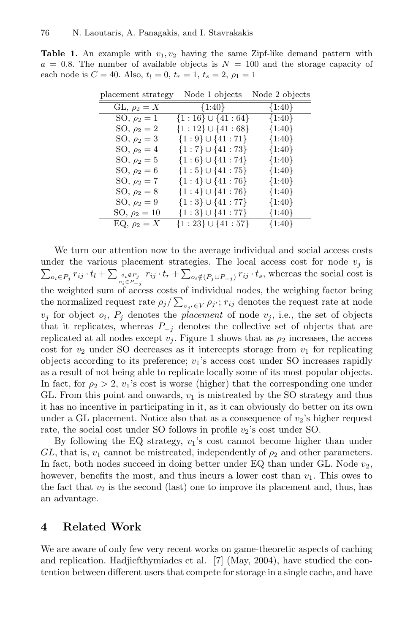<span id="page-7-0"></span>**Table 1.** An example with  $v_1, v_2$  having the same Zipf-like demand pattern with  $a = 0.8$ . The number of available objects is  $N = 100$  and the storage capacity of each node is  $C = 40$ . Also,  $t_l = 0$ ,  $t_r = 1$ ,  $t_s = 2$ ,  $\rho_1 = 1$ 

| placement strategy | Node 1 objects           | Node 2 objects |
|--------------------|--------------------------|----------------|
| $GL, \rho_2 = X$   | ${1:}40$                 | ${1:}40$       |
| SO, $\rho_2 = 1$   | $\{1:16\}\cup\{41:64\}$  | ${1:}40$       |
| SO, $\rho_2 = 2$   | $\{1:12\}\cup\{41:68\}\$ | ${1:}40$       |
| SO, $\rho_2=3$     | $\{1:9\}\cup\{41:71\}$   | ${1:}40$       |
| SO, $\rho_2=4$     | $\{1:7\}\cup\{41:73\}$   | ${1:}40$       |
| SO, $\rho_2 = 5$   | $\{1:6\} \cup \{41:74\}$ | ${1:}40$       |
| SO, $\rho_2=6$     | $\{1:5\} \cup \{41:75\}$ | ${1:}40$       |
| SO, $\rho_2 = 7$   | $\{1:4\} \cup \{41:76\}$ | ${1:}40$       |
| SO, $\rho_2 = 8$   | $\{1:4\} \cup \{41:76\}$ | ${1:}40$       |
| SO, $\rho_2=9$     | $\{1:3\} \cup \{41:77\}$ | ${1:}40$       |
| SO, $\rho_2 = 10$  | $\{1:3\} \cup \{41:77\}$ | ${1:}40$       |
| EQ, $\rho_2 = X$   | $\{1:23\}\cup\{41:57\}$  | ${1:}40$       |

placement strategy Node 1 objects Node 2 objects

We turn our attention now to the average individual and social access costs under the various placement strategies. The local access cost for node  $v_j$  is  $\sum_{o_i \in P_j} r_{ij} \cdot t_l + \sum_{o_i \in P_{-j}} r_{ij} \cdot t_r + \sum_{o_i \notin (P_j \cup P_{-j})} r_{ij} \cdot t_s$ , whereas the social cost is the weighted sum of access costs of individual nodes, the weighing factor being the normalized request rate  $\rho_j / \sum_{v_{j'} \in V} \rho_{j'}$ ;  $r_{ij}$  denotes the request rate at node  $v_j$  for object  $o_i$ ,  $P_j$  denotes the *placement* of node  $v_j$ , i.e., the set of objects that it replicates, whereas  $P_{-j}$  denotes the collective set of objects that are replicated at all nodes except  $v_j$ . Figure [1](#page-8-3) shows that as  $\rho_2$  increases, the access cost for  $v_2$  under SO decreases as it intercepts storage from  $v_1$  for replicating objects according to its preference;  $v_1$ 's access cost under SO increases rapidly as a result of not being able to replicate locally some of its most popular objects. In fact, for  $\rho_2 > 2$ ,  $v_1$ 's cost is worse (higher) that the corresponding one under GL. From this point and onwards,  $v_1$  is mistreated by the SO strategy and thus it has no incentive in participating in it, as it can obviously do better on its own under a GL placement. Notice also that as a consequence of  $v_2$ 's higher request rate, the social cost under SO follows in profile  $v_2$ 's cost under SO.

By following the EQ strategy,  $v_1$ 's cost cannot become higher than under GL, that is,  $v_1$  cannot be mistreated, independently of  $\rho_2$  and other parameters. In fact, both nodes succeed in doing better under EQ than under GL. Node  $v_2$ , however, benefits the most, and thus incurs a lower cost than  $v_1$ . This owes to the fact that  $v_2$  is the second (last) one to improve its placement and, thus, has an advantage.

### **4 Related Work**

We are aware of only few very recent works on game-theoretic aspects of caching and replication. Hadjiefthymiades et al. [\[7\]](#page-9-17) (May, 2004), have studied the contention between different users that compete for storage in a single cache, and have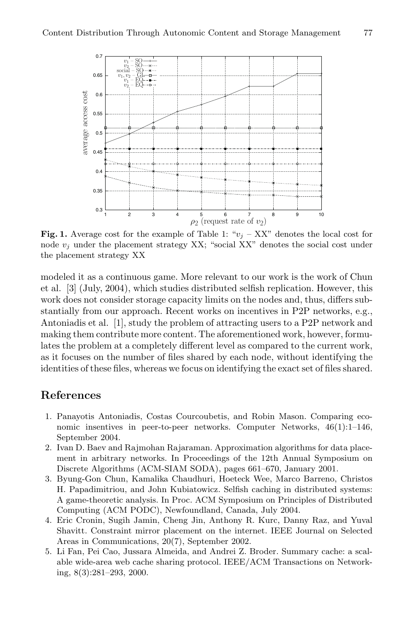

<span id="page-8-3"></span>**Fig. 1.** Average cost for the example of Table [1:](#page-7-0) " $v_j - XX$ " denotes the local cost for node  $v_i$  under the placement strategy XX; "social XX" denotes the social cost under the placement strategy XX

modeled it as a continuous game. More relevant to our work is the work of Chun et al. [\[3\]](#page-8-4) (July, 2004), which studies distributed selfish replication. However, this work does not consider storage capacity limits on the nodes and, thus, differs substantially from our approach. Recent works on incentives in P2P networks, e.g., Antoniadis et al. [\[1\]](#page-8-5), study the problem of attracting users to a P2P network and making them contribute more content. The aforementioned work, however, formulates the problem at a completely different level as compared to the current work, as it focuses on the number of files shared by each node, without identifying the identities of these files, whereas we focus on identifying the exact set of files shared.

#### <span id="page-8-5"></span>**References**

- 1. Panayotis Antoniadis, Costas Courcoubetis, and Robin Mason. Comparing economic insentives in peer-to-peer networks. Computer Networks, 46(1):1–146, September 2004.
- <span id="page-8-2"></span>2. Ivan D. Baev and Rajmohan Rajaraman. Approximation algorithms for data placement in arbitrary networks. In Proceedings of the 12th Annual Symposium on Discrete Algorithms (ACM-SIAM SODA), pages 661–670, January 2001.
- <span id="page-8-4"></span>3. Byung-Gon Chun, Kamalika Chaudhuri, Hoeteck Wee, Marco Barreno, Christos H. Papadimitriou, and John Kubiatowicz. Selfish caching in distributed systems: A game-theoretic analysis. In Proc. ACM Symposium on Principles of Distributed Computing (ACM PODC), Newfoundland, Canada, July 2004.
- <span id="page-8-1"></span>4. Eric Cronin, Sugih Jamin, Cheng Jin, Anthony R. Kurc, Danny Raz, and Yuval Shavitt. Constraint mirror placement on the internet. IEEE Journal on Selected Areas in Communications, 20(7), September 2002.
- <span id="page-8-0"></span>5. Li Fan, Pei Cao, Jussara Almeida, and Andrei Z. Broder. Summary cache: a scalable wide-area web cache sharing protocol. IEEE/ACM Transactions on Networking, 8(3):281–293, 2000.